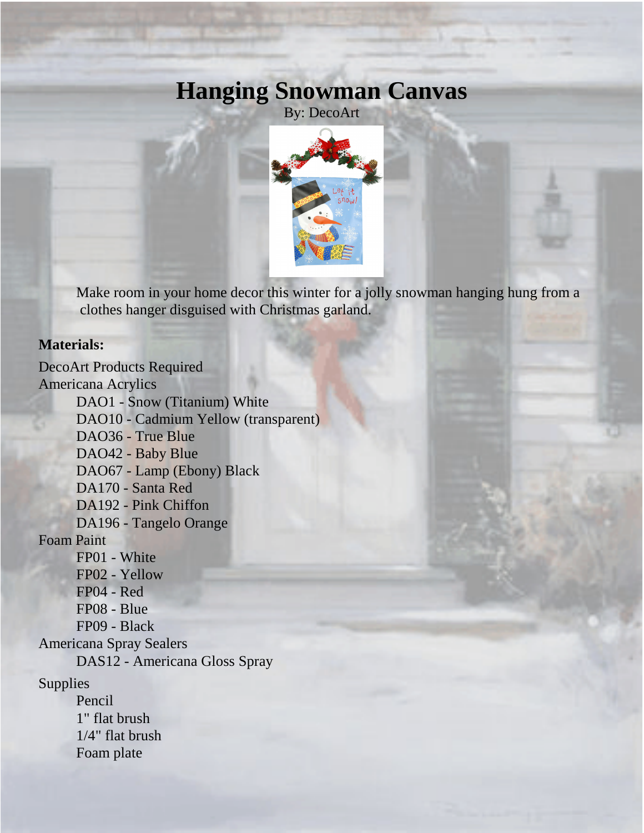## **Hanging Snowman Canvas**

By: DecoArt



Make room in your home decor this winter for a jolly snowman hanging hung from a clothes hanger disguised with Christmas garland.

## **Materials:**

DecoArt Products Required Americana Acrylics DAO1 - Snow (Titanium) White DAO10 - Cadmium Yellow (transparent) DAO36 - True Blue DAO42 - Baby Blue DAO67 - Lamp (Ebony) Black DA170 - Santa Red DA192 - Pink Chiffon DA196 - Tangelo Orange Foam Paint FP01 - White FP02 - Yellow FP04 - Red FP08 - Blue FP09 - Black Americana Spray Sealers DAS12 - Americana Gloss Spray Supplies Pencil 1" flat brush 1/4" flat brush

Foam plate